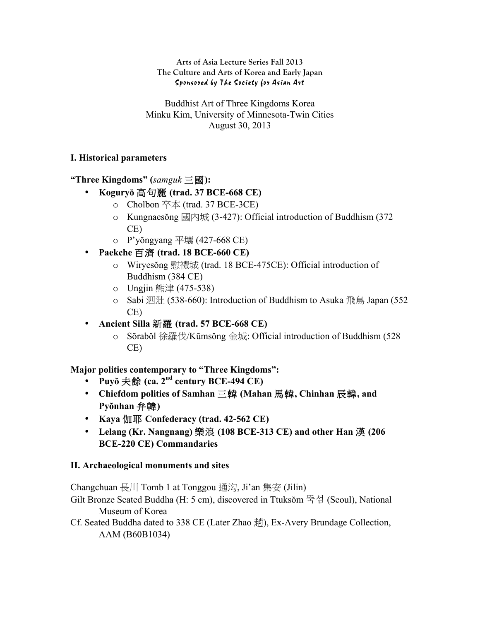## **Arts of Asia Lecture Series Fall 2013 The Culture and Arts of Korea and Early Japan** Sponsored by The Society for Asian Art

Buddhist Art of Three Kingdoms Korea Minku Kim, University of Minnesota-Twin Cities August 30, 2013

## **I. Historical parameters**

**"Three Kingdoms" (***samguk* 三國**):** 

- **Koguryŏ** 高句麗 **(trad. 37 BCE-668 CE)**
	- $\circ$  Cholbon 卒本 (trad. 37 BCE-3CE)
	- $\circ$  Kungnaesŏng 國內城 (3-427): Official introduction of Buddhism (372) CE)
	- o P'yŏngyang 平壤 (427-668 CE)
- **Paekche** 百濟 **(trad. 18 BCE-660 CE)**
	- o Wiryesŏng 慰禮城 (trad. 18 BCE-475CE): Official introduction of Buddhism (384 CE)
	- o Ungjin 熊津 (475-538)
	- o Sabi 泗沘 (538-660): Introduction of Buddhism to Asuka 飛鳥 Japan (552 CE)
- **Ancient Silla** 新羅 **(trad. 57 BCE-668 CE)**
	- o Sŏrabŏl 徐羅伐/Kŭmsŏng 金城: Official introduction of Buddhism (528 CE)

**Major polities contemporary to "Three Kingdoms":** 

- **Puyŏ** 夫餘 **(ca. 2nd century BCE-494 CE)**
- **Chiefdom polities of Samhan** 三韓 **(Mahan** 馬韓**, Chinhan** 辰韓**, and Pyŏnhan** 弁韓**)**
- **Kaya** 伽耶 **Confederacy (trad. 42-562 CE)**
- **Lelang (Kr. Nangnang)** 樂浪 **(108 BCE-313 CE) and other Han** 漢 **(206 BCE-220 CE) Commandaries**

## **II. Archaeological monuments and sites**

Changchuan 長川 Tomb 1 at Tonggou 通沟, Ji'an 集安 (Jilin)

- Gilt Bronze Seated Buddha (H: 5 cm), discovered in Ttuksŏm 뚝섬 (Seoul), National Museum of Korea
- Cf. Seated Buddha dated to 338 CE (Later Zhao 趙), Ex-Avery Brundage Collection, AAM (B60B1034)